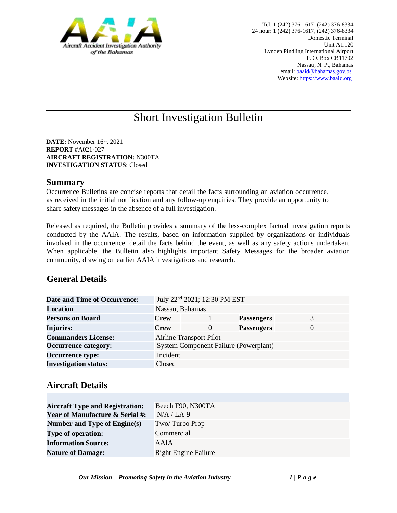

# Short Investigation Bulletin

**DATE:** November 16<sup>th</sup>, 2021 **REPORT** #A021-027 **AIRCRAFT REGISTRATION:** N300TA **INVESTIGATION STATUS**: Closed

#### **Summary**

Occurrence Bulletins are concise reports that detail the facts surrounding an aviation occurrence, as received in the initial notification and any follow-up enquiries. They provide an opportunity to share safety messages in the absence of a full investigation*.* 

Released as required, the Bulletin provides a summary of the less-complex factual investigation reports conducted by the AAIA. The results, based on information supplied by organizations or individuals involved in the occurrence, detail the facts behind the event, as well as any safety actions undertaken. When applicable, the Bulletin also highlights important Safety Messages for the broader aviation community, drawing on earlier AAIA investigations and research.

## **General Details**

| <b>Date and Time of Occurrence:</b> |                 | July 22 <sup>nd</sup> 2021; 12:30 PM EST     |                   |   |
|-------------------------------------|-----------------|----------------------------------------------|-------------------|---|
| <b>Location</b>                     | Nassau, Bahamas |                                              |                   |   |
| <b>Persons on Board</b>             | <b>Crew</b>     |                                              | <b>Passengers</b> | 3 |
| <b>Injuries:</b>                    | <b>Crew</b>     | $\Omega$                                     | <b>Passengers</b> |   |
| <b>Commanders License:</b>          |                 | <b>Airline Transport Pilot</b>               |                   |   |
| <b>Occurrence category:</b>         |                 | <b>System Component Failure (Powerplant)</b> |                   |   |
| <b>Occurrence type:</b>             | Incident        |                                              |                   |   |
| <b>Investigation status:</b>        | Closed          |                                              |                   |   |

## **Aircraft Details**

| <b>Aircraft Type and Registration:</b>     | Beech F90, N300TA           |
|--------------------------------------------|-----------------------------|
| <b>Year of Manufacture &amp; Serial #:</b> | $N/A / LA-9$                |
| Number and Type of Engine(s)               | Two/Turbo Prop              |
| <b>Type of operation:</b>                  | Commercial                  |
| <b>Information Source:</b>                 | AAIA                        |
| <b>Nature of Damage:</b>                   | <b>Right Engine Failure</b> |